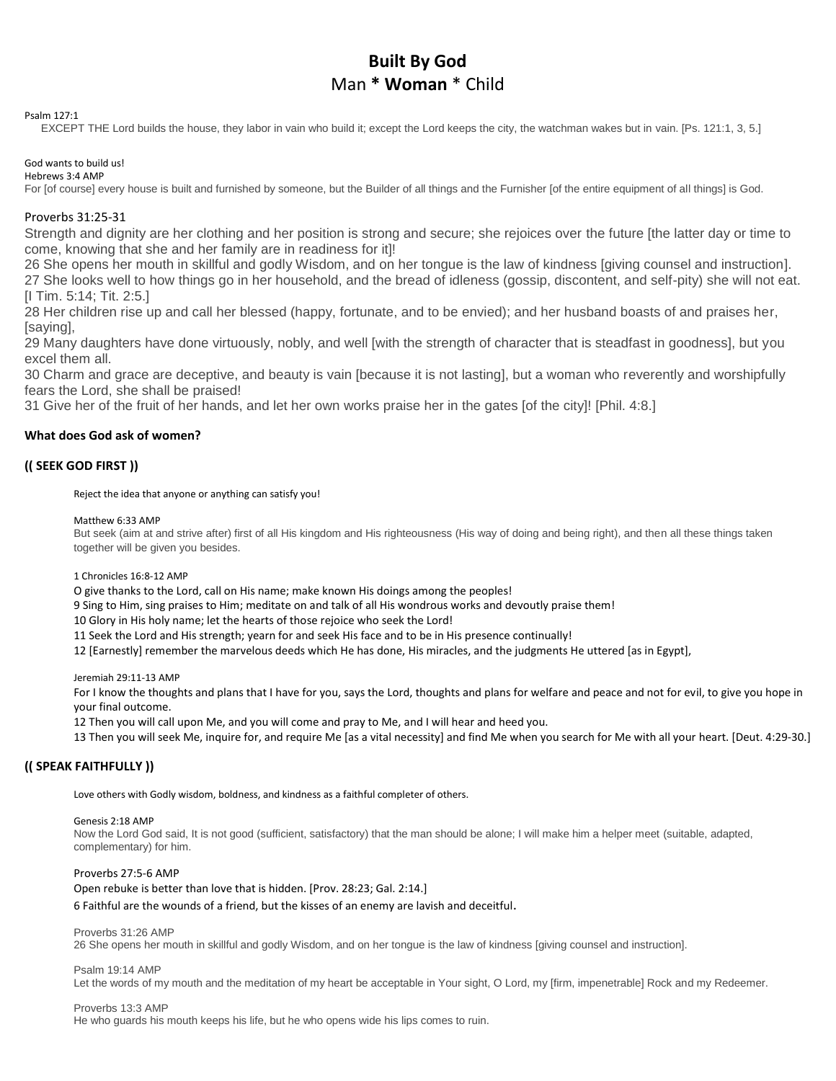# **Built By God** Man **\* Woman** \* Child

Psalm 127:1

EXCEPT THE Lord builds the house, they labor in vain who build it; except the Lord keeps the city, the watchman wakes but in vain. [Ps. 121:1, 3, 5.]

#### God wants to build us! Hebrews 3:4 AMP

For [of course] every house is built and furnished by someone, but the Builder of all things and the Furnisher [of the entire equipment of all things] is God.

# Proverbs 31:25-31

Strength and dignity are her clothing and her position is strong and secure; she rejoices over the future [the latter day or time to come, knowing that she and her family are in readiness for it]!

26 She opens her mouth in skillful and godly Wisdom, and on her tongue is the law of kindness [giving counsel and instruction]. 27 She looks well to how things go in her household, and the bread of idleness (gossip, discontent, and self-pity) she will not eat. [I Tim. 5:14; Tit. 2:5.]

28 Her children rise up and call her blessed (happy, fortunate, and to be envied); and her husband boasts of and praises her, [saying],

29 Many daughters have done virtuously, nobly, and well [with the strength of character that is steadfast in goodness], but you excel them all.

30 Charm and grace are deceptive, and beauty is vain [because it is not lasting], but a woman who reverently and worshipfully fears the Lord, she shall be praised!

31 Give her of the fruit of her hands, and let her own works praise her in the gates [of the city]! [Phil. 4:8.]

# **What does God ask of women?**

# **(( SEEK GOD FIRST ))**

Reject the idea that anyone or anything can satisfy you!

Matthew 6:33 AMP

But seek (aim at and strive after) first of all His kingdom and His righteousness (His way of doing and being right), and then all these things taken together will be given you besides.

1 Chronicles 16:8-12 AMP

O give thanks to the Lord, call on His name; make known His doings among the peoples!

9 Sing to Him, sing praises to Him; meditate on and talk of all His wondrous works and devoutly praise them!

10 Glory in His holy name; let the hearts of those rejoice who seek the Lord!

11 Seek the Lord and His strength; yearn for and seek His face and to be in His presence continually!

12 [Earnestly] remember the marvelous deeds which He has done, His miracles, and the judgments He uttered [as in Egypt],

Jeremiah 29:11-13 AMP

For I know the thoughts and plans that I have for you, says the Lord, thoughts and plans for welfare and peace and not for evil, to give you hope in your final outcome.

12 Then you will call upon Me, and you will come and pray to Me, and I will hear and heed you.

13 Then you will seek Me, inquire for, and require Me [as a vital necessity] and find Me when you search for Me with all your heart. [Deut. 4:29-30.]

# **(( SPEAK FAITHFULLY ))**

Love others with Godly wisdom, boldness, and kindness as a faithful completer of others.

#### Genesis 2:18 AMP

Now the Lord God said, It is not good (sufficient, satisfactory) that the man should be alone; I will make him a helper meet (suitable, adapted, complementary) for him.

# Proverbs 27:5-6 AMP

Open rebuke is better than love that is hidden. [Prov. 28:23; Gal. 2:14.]

6 Faithful are the wounds of a friend, but the kisses of an enemy are lavish and deceitful.

## Proverbs 31:26 AMP

26 She opens her mouth in skillful and godly Wisdom, and on her tongue is the law of kindness [giving counsel and instruction].

#### Psalm 19:14 AMP

Let the words of my mouth and the meditation of my heart be acceptable in Your sight, O Lord, my [firm, impenetrable] Rock and my Redeemer.

Proverbs 13:3 AMP

He who guards his mouth keeps his life, but he who opens wide his lips comes to ruin.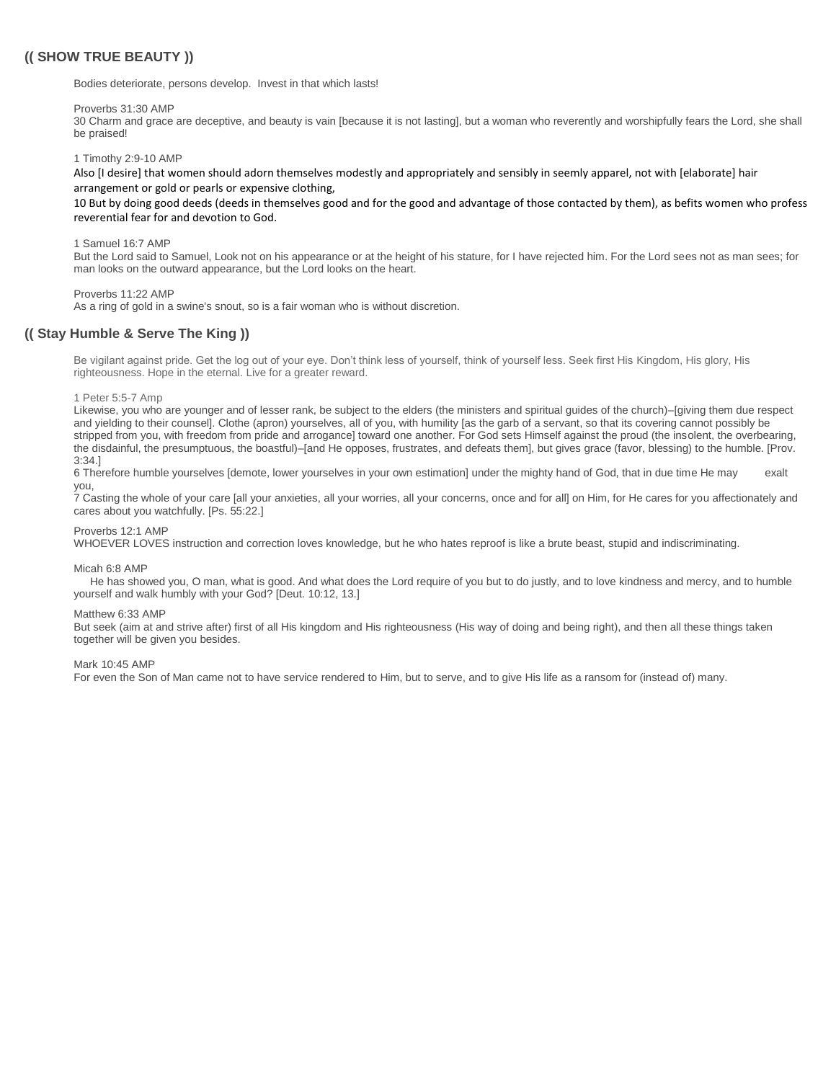# **(( SHOW TRUE BEAUTY ))**

Bodies deteriorate, persons develop. Invest in that which lasts!

#### Proverbs 31:30 AMP

30 Charm and grace are deceptive, and beauty is vain [because it is not lasting], but a woman who reverently and worshipfully fears the Lord, she shall be praised!

1 Timothy 2:9-10 AMP

Also [I desire] that women should adorn themselves modestly and appropriately and sensibly in seemly apparel, not with [elaborate] hair arrangement or gold or pearls or expensive clothing,

10 But by doing good deeds (deeds in themselves good and for the good and advantage of those contacted by them), as befits women who profess reverential fear for and devotion to God.

1 Samuel 16:7 AMP

But the Lord said to Samuel, Look not on his appearance or at the height of his stature, for I have rejected him. For the Lord sees not as man sees; for man looks on the outward appearance, but the Lord looks on the heart.

#### Proverbs 11:22 AMP

As a ring of gold in a swine's snout, so is a fair woman who is without discretion.

# **(( Stay Humble & Serve The King ))**

Be vigilant against pride. Get the log out of your eye. Don't think less of yourself, think of yourself less. Seek first His Kingdom, His glory, His righteousness. Hope in the eternal. Live for a greater reward.

#### 1 Peter 5:5-7 Amp

Likewise, you who are younger and of lesser rank, be subject to the elders (the ministers and spiritual guides of the church)–[giving them due respect and yielding to their counsel]. Clothe (apron) yourselves, all of you, with humility [as the garb of a servant, so that its covering cannot possibly be stripped from you, with freedom from pride and arrogance] toward one another. For God sets Himself against the proud (the insolent, the overbearing, the disdainful, the presumptuous, the boastful)–[and He opposes, frustrates, and defeats them], but gives grace (favor, blessing) to the humble. [Prov. 3:34.]

6 Therefore humble yourselves [demote, lower yourselves in your own estimation] under the mighty hand of God, that in due time He may exalt you,

7 Casting the whole of your care [all your anxieties, all your worries, all your concerns, once and for all] on Him, for He cares for you affectionately and cares about you watchfully. [Ps. 55:22.]

## Proverbs 12:1 AMP

WHOEVER LOVES instruction and correction loves knowledge, but he who hates reproof is like a brute beast, stupid and indiscriminating.

#### Micah 6:8 AMP

He has showed you, O man, what is good. And what does the Lord require of you but to do justly, and to love kindness and mercy, and to humble yourself and walk humbly with your God? [Deut. 10:12, 13.]

#### Matthew 6:33 AMP

But seek (aim at and strive after) first of all His kingdom and His righteousness (His way of doing and being right), and then all these things taken together will be given you besides.

#### Mark 10:45 AMP

For even the Son of Man came not to have service rendered to Him, but to serve, and to give His life as a ransom for (instead of) many.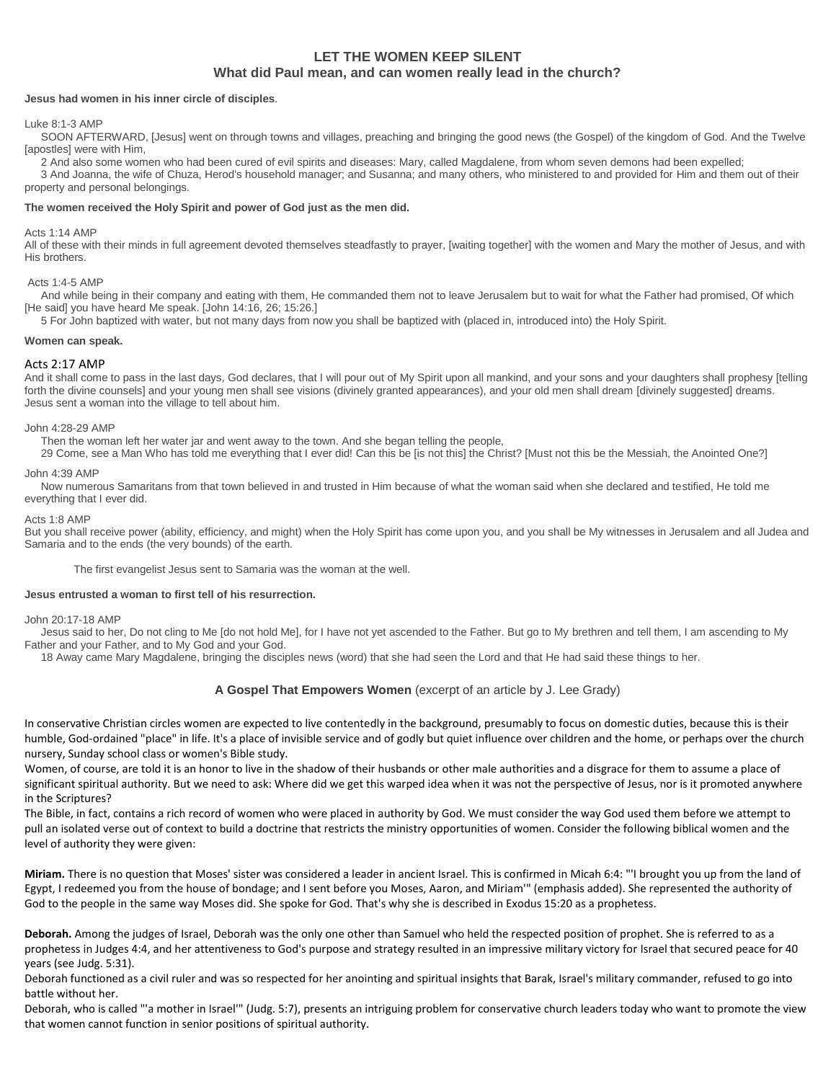# **LET THE WOMEN KEEP SILENT What did Paul mean, and can women really lead in the church?**

## **Jesus had women in his inner circle of disciples**.

#### Luke 8:1-3 AMP

SOON AFTERWARD, [Jesus] went on through towns and villages, preaching and bringing the good news (the Gospel) of the kingdom of God. And the Twelve [apostles] were with Him,

2 And also some women who had been cured of evil spirits and diseases: Mary, called Magdalene, from whom seven demons had been expelled; 3 And Joanna, the wife of Chuza, Herod's household manager; and Susanna; and many others, who ministered to and provided for Him and them out of their property and personal belongings.

#### **The women received the Holy Spirit and power of God just as the men did.**

#### Acts 1:14 AMP

All of these with their minds in full agreement devoted themselves steadfastly to prayer, [waiting together] with the women and Mary the mother of Jesus, and with His brothers.

#### Acts 1:4-5 AMP

And while being in their company and eating with them, He commanded them not to leave Jerusalem but to wait for what the Father had promised, Of which [He said] you have heard Me speak. [John 14:16, 26; 15:26.]

5 For John baptized with water, but not many days from now you shall be baptized with (placed in, introduced into) the Holy Spirit.

#### **Women can speak.**

#### Acts 2:17 AMP

And it shall come to pass in the last days, God declares, that I will pour out of My Spirit upon all mankind, and your sons and your daughters shall prophesy [telling forth the divine counsels] and your young men shall see visions (divinely granted appearances), and your old men shall dream [divinely suggested] dreams. Jesus sent a woman into the village to tell about him.

#### John 4:28-29 AMP

Then the woman left her water jar and went away to the town. And she began telling the people,

29 Come, see a Man Who has told me everything that I ever did! Can this be [is not this] the Christ? [Must not this be the Messiah, the Anointed One?]

#### John 4:39 AMP

Now numerous Samaritans from that town believed in and trusted in Him because of what the woman said when she declared and testified, He told me everything that I ever did.

#### Acts 1:8 AMP

But you shall receive power (ability, efficiency, and might) when the Holy Spirit has come upon you, and you shall be My witnesses in Jerusalem and all Judea and Samaria and to the ends (the very bounds) of the earth.

The first evangelist Jesus sent to Samaria was the woman at the well.

#### **Jesus entrusted a woman to first tell of his resurrection.**

#### John 20:17-18 AMP

Jesus said to her, Do not cling to Me [do not hold Me], for I have not yet ascended to the Father. But go to My brethren and tell them, I am ascending to My Father and your Father, and to My God and your God.

18 Away came Mary Magdalene, bringing the disciples news (word) that she had seen the Lord and that He had said these things to her.

## **A Gospel That Empowers Women** (excerpt of an article by J. Lee Grady)

In conservative Christian circles women are expected to live contentedly in the background, presumably to focus on domestic duties, because this is their humble, God-ordained "place" in life. It's a place of invisible service and of godly but quiet influence over children and the home, or perhaps over the church nursery, Sunday school class or women's Bible study.

Women, of course, are told it is an honor to live in the shadow of their husbands or other male authorities and a disgrace for them to assume a place of significant spiritual authority. But we need to ask: Where did we get this warped idea when it was not the perspective of Jesus, nor is it promoted anywhere in the Scriptures?

The Bible, in fact, contains a rich record of women who were placed in authority by God. We must consider the way God used them before we attempt to pull an isolated verse out of context to build a doctrine that restricts the ministry opportunities of women. Consider the following biblical women and the level of authority they were given:

**Miriam.** There is no question that Moses' sister was considered a leader in ancient Israel. This is confirmed in Micah 6:4: "'I brought you up from the land of Egypt, I redeemed you from the house of bondage; and I sent before you Moses, Aaron, and Miriam'" (emphasis added). She represented the authority of God to the people in the same way Moses did. She spoke for God. That's why she is described in Exodus 15:20 as a prophetess.

**Deborah.** Among the judges of Israel, Deborah was the only one other than Samuel who held the respected position of prophet. She is referred to as a prophetess in Judges 4:4, and her attentiveness to God's purpose and strategy resulted in an impressive military victory for Israel that secured peace for 40 years (see Judg. 5:31).

Deborah functioned as a civil ruler and was so respected for her anointing and spiritual insights that Barak, Israel's military commander, refused to go into battle without her.

Deborah, who is called "'a mother in Israel'" (Judg. 5:7), presents an intriguing problem for conservative church leaders today who want to promote the view that women cannot function in senior positions of spiritual authority.